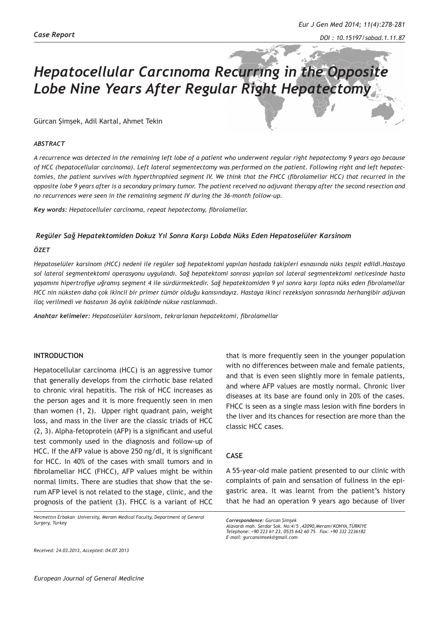# *Hepatocellular Carcınoma Recurrıng in the Opposite Lobe Nine Years After Regular Right Hepatectomy*

# Gürcan Şimşek, Adil Kartal, Ahmet Tekin

#### *ABSTRACT*

*A recurrence was detected in the remaining left lobe of a patient who underwent regular right hepatectomy 9 years ago because of HCC (hepatocellular carcinoma). Left lateral segmentectomy was performed on the patient. Following right and left hepatectomies, the patient survives with hyperthrophied segment IV. We think that the FHCC (fibrolamellar HCC) that recurred in the opposite lobe 9 years after is a secondary primary tumor. The patient received no adjuvant therapy after the second resection and no recurrences were seen in the remaining segment IV during the 36-month follow-up.*

*Key words: Hepatocelluler carcinoma, repeat hepatectomy, fibrolamellar.*

#### *Regüler Sağ Hepatektomiden Dokuz Yıl Sonra Karşı Lobda Nüks Eden Hepatoselüler Karsinom*

### *ÖZET*

*Hepatoselüler karsinom (HCC) nedeni ile regüler sağ hepatektomi yapılan hastada takipleri esnasında nüks tespit edildi.Hastaya sol lateral segmentektomi operasyonu uygulandı. Sağ hepatektomi sonrası yapılan sol lateral segmentektomi neticesinde hasta yaşamını hipertrofiye uğramış segment 4 ile sürdürmektedir. Sağ hepatektomiden 9 yıl sonra karşı lopta nüks eden fibrolamellar HCC nin nüksten daha çok ikincil bir primer tümör olduğu kanısındayız. Hastaya ikinci rezeksiyon sonrasında herhangibir adjuvan ilaç verilmedi ve hastanın 36 aylık takibinde nükse rastlanmadı.*

*Anahtar kelimeler: Hepatoselüler karsinom, tekrarlanan hepatektomi, fibrolamellar*

### **INTRODUCTION**

Hepatocellular carcinoma (HCC) is an aggressive tumor that generally develops from the cirrhotic base related to chronic viral hepatitis. The risk of HCC increases as the person ages and it is more frequently seen in men than women (1, 2). Upper right quadrant pain, weight loss, and mass in the liver are the classic triads of HCC (2, 3). Alpha-fetoprotein (AFP) is a significant and useful test commonly used in the diagnosis and follow-up of HCC. If the AFP value is above 250 ng/dl, it is significant for HCC. In 40% of the cases with small tumors and in fibrolamellar HCC (FHCC), AFP values might be within normal limits. There are studies that show that the serum AFP level is not related to the stage, clinic, and the prognosis of the patient (3). FHCC is a variant of HCC

*Necmettın Erbakan University, Meram Medical Faculty, Department of General Surgery, Turkey*

that is more frequently seen in the younger population with no differences between male and female patients, and that is even seen slightly more in female patients, and where AFP values are mostly normal. Chronic liver diseases at its base are found only in 20% of the cases. FHCC is seen as a single mass lesion with fine borders in the liver and its chances for resection are more than the classic HCC cases.

# **CASE**

A 55-year-old male patient presented to our clinic with complaints of pain and sensation of fullness in the epigastric area. It was learnt from the patient's history that he had an operation 9 years ago because of liver

*Correspondence: Gurcan Şimşek*

*Alavardı mah. Serdar Sok. No:4/5 ,42090,Meram/KONYA,TÜRKİYE Telephone: +90 223 61 23, 0535 642 60 75 Fax: +90 332 2236182 E-mail: gurcansimsek@gmail.com*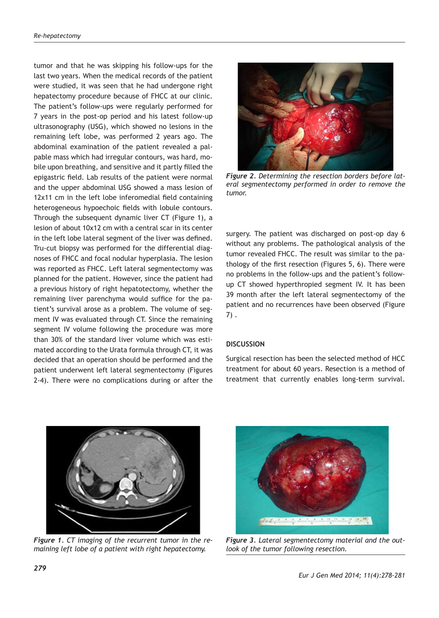tumor and that he was skipping his follow-ups for the last two years. When the medical records of the patient were studied, it was seen that he had undergone right hepatectomy procedure because of FHCC at our clinic. The patient's follow-ups were regularly performed for 7 years in the post-op period and his latest follow-up ultrasonography (USG), which showed no lesions in the remaining left lobe, was performed 2 years ago. The abdominal examination of the patient revealed a palpable mass which had irregular contours, was hard, mobile upon breathing, and sensitive and it partly filled the epigastric field. Lab results of the patient were normal and the upper abdominal USG showed a mass lesion of 12x11 cm in the left lobe inferomedial field containing heterogeneous hypoechoic fields with lobule contours. Through the subsequent dynamic liver CT (Figure 1), a lesion of about 10x12 cm with a central scar in its center in the left lobe lateral segment of the liver was defined. Tru-cut biopsy was performed for the differential diagnoses of FHCC and focal nodular hyperplasia. The lesion was reported as FHCC. Left lateral segmentectomy was planned for the patient. However, since the patient had a previous history of right hepatotectomy, whether the remaining liver parenchyma would suffice for the patient's survival arose as a problem. The volume of segment IV was evaluated through CT. Since the remaining segment IV volume following the procedure was more than 30% of the standard liver volume which was estimated according to the Urata formula through CT, it was decided that an operation should be performed and the patient underwent left lateral segmentectomy (Figures 2-4). There were no complications during or after the



*Figure 2. Determining the resection borders before lateral segmentectomy performed in order to remove the tumor.*

surgery. The patient was discharged on post-op day 6 without any problems. The pathological analysis of the tumor revealed FHCC. The result was similar to the pathology of the first resection (Figures 5, 6). There were no problems in the follow-ups and the patient's followup CT showed hyperthropied segment IV. It has been 39 month after the left lateral segmentectomy of the patient and no recurrences have been observed (Figure 7) .

# **DISCUSSION**

Surgical resection has been the selected method of HCC treatment for about 60 years. Resection is a method of treatment that currently enables long-term survival.



*Figure 1. CT imaging of the recurrent tumor in the remaining left lobe of a patient with right hepatectomy.*



*Figure 3. Lateral segmentectomy material and the outlook of the tumor following resection.*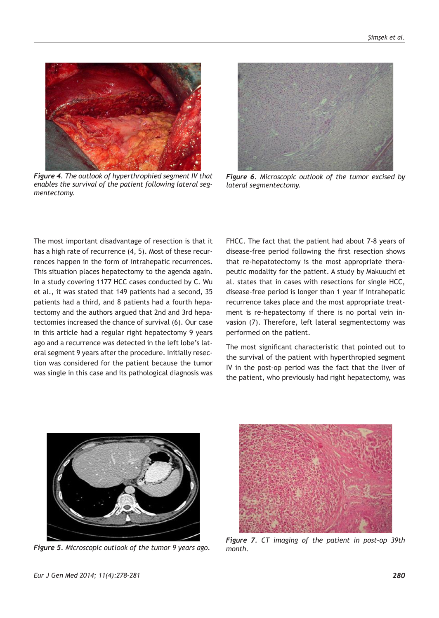

*Figure 4. The outlook of hyperthrophied segment IV that enables the survival of the patient following lateral segmentectomy.*



*Figure 6. Microscopic outlook of the tumor excised by lateral segmentectomy.*

The most important disadvantage of resection is that it has a high rate of recurrence (4, 5). Most of these recurrences happen in the form of intrahepatic recurrences. This situation places hepatectomy to the agenda again. In a study covering 1177 HCC cases conducted by C. Wu et al., it was stated that 149 patients had a second, 35 patients had a third, and 8 patients had a fourth hepatectomy and the authors argued that 2nd and 3rd hepatectomies increased the chance of survival (6). Our case in this article had a regular right hepatectomy 9 years ago and a recurrence was detected in the left lobe's lateral segment 9 years after the procedure. Initially resection was considered for the patient because the tumor was single in this case and its pathological diagnosis was

FHCC. The fact that the patient had about 7-8 years of disease-free period following the first resection shows that re-hepatotectomy is the most appropriate therapeutic modality for the patient. A study by Makuuchi et al. states that in cases with resections for single HCC, disease-free period is longer than 1 year if intrahepatic recurrence takes place and the most appropriate treatment is re-hepatectomy if there is no portal vein invasion (7). Therefore, left lateral segmentectomy was performed on the patient.

The most significant characteristic that pointed out to the survival of the patient with hyperthropied segment IV in the post-op period was the fact that the liver of the patient, who previously had right hepatectomy, was



*Figure 5. Microscopic outlook of the tumor 9 years ago.*



*Figure 7. CT imaging of the patient in post-op 39th month.*